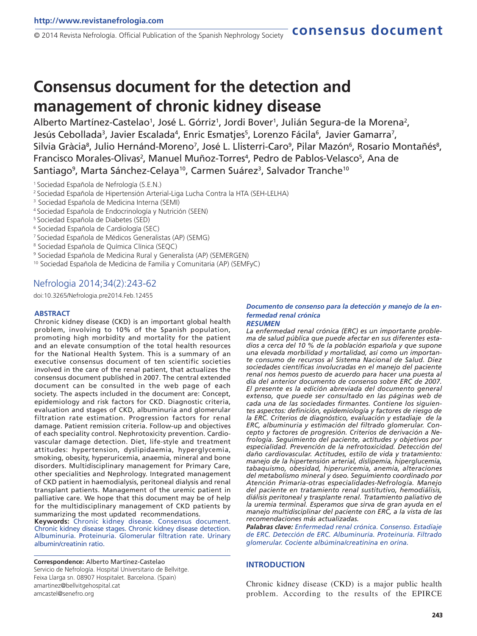# **Consensus document for the detection and management of chronic kidney disease**

Alberto Martínez-Castelao<sup>1</sup>, José L. Górriz<sup>1</sup>, Jordi Bover<sup>1</sup>, Julián Segura-de la Morena<sup>2</sup>, Jesús Cebollada<sup>3</sup>, Javier Escalada<sup>4</sup>, Enric Esmatjes<sup>5</sup>, Lorenzo Fácila<sup>6</sup>, Javier Gamarra<sup>7</sup>, Silvia Gràcia<sup>8</sup>, Julio Hernánd-Moreno<sup>7</sup>, José L. Llisterri-Caro<sup>9</sup>, Pilar Mazón<sup>6</sup>, Rosario Montañés<sup>8</sup>, Francisco Morales-Olivas<sup>2</sup>, Manuel Muñoz-Torres<sup>4</sup>, Pedro de Pablos-Velasco<sup>5</sup>, Ana de Santiago<sup>9</sup>, Marta Sánchez-Celaya<sup>10</sup>, Carmen Suárez<sup>3</sup>, Salvador Tranche<sup>10</sup>

- <sup>1</sup>Sociedad Española de Nefrología (S.E.N.)
- <sup>2</sup>Sociedad Española de Hipertensión Arterial-Liga Lucha Contra la HTA (SEH-LELHA)
- <sup>3</sup> Sociedad Española de Medicina Interna (SEMI)
- <sup>4</sup>Sociedad Española de Endocrinología y Nutrición (SEEN)
- <sup>5</sup> Sociedad Española de Diabetes (SED)
- 6 Sociedad Española de Cardiología (SEC)
- <sup>7</sup>Sociedad Española de Médicos Generalistas (AP) (SEMG)
- 8 Sociedad Española de Química Clínica (SEQC)
- 9 Sociedad Española de Medicina Rural y Generalista (AP) (SEMERGEN)
- <sup>10</sup> Sociedad Española de Medicina de Familia y Comunitaria (AP) (SEMFyC)

## Nefrologia 2014;34(2):243-62

doi:10.3265/Nefrologia.pre2014.Feb.12455

### **ABSTRACT**

Chronic kidney disease (CKD) is an important global health problem, involving to 10% of the Spanish population, promoting high morbidity and mortality for the patient and an elevate consumption of the total health resources for the National Health System. This is a summary of an executive consensus document of ten scientific societies involved in the care of the renal patient, that actualizes the consensus document published in 2007. The central extended document can be consulted in the web page of each society. The aspects included in the document are: Concept, epidemiology and risk factors for CKD. Diagnostic criteria, evaluation and stages of CKD, albuminuria and glomerular filtration rate estimation. Progression factors for renal damage. Patient remission criteria. Follow-up and objectives of each speciality control. Nephrotoxicity prevention. Cardiovascular damage detection. Diet, life-style and treatment attitudes: hypertension, dyslipidaemia, hyperglycemia, smoking, obesity, hyperuricemia, anaemia, mineral and bone disorders. Multidisciplinary management for Primary Care, other specialities and Nephrology. Integrated management of CKD patient in haemodialysis, peritoneal dialysis and renal transplant patients. Management of the uremic patient in palliative care. We hope that this document may be of help for the multidisciplinary management of CKD patients by summarizing the most updated recommendations.

**Keywords:** Chronic kidney disease. Consensus document. Chronic kidney disease stages. Chronic kidney disease detection. Albuminuria. Proteinuria. Glomerular filtration rate. Urinary albumin/creatinin ratio.

**Correspondence:** Alberto Martínez-Castelao Servicio de Nefrología. Hospital Universitario de Bellvitge. Feixa Llarga sn. 08907 Hospitalet. Barcelona. (Spain) amartinez@bellvitgehospital.cat amcastel@senefro.org

### *Documento de consenso para la detección y manejo de la enfermedad renal crónica*

**consensus document**

### *RESUMEN*

*La enfermedad renal crónica (ERC) es un importante problema de salud pública que puede afectar en sus diferentes estadios a cerca del 10 % de la población española y que supone una elevada morbilidad y mortalidad, así como un importante consumo de recursos al Sistema Nacional de Salud. Diez sociedades científicas involucradas en el manejo del paciente renal nos hemos puesto de acuerdo para hacer una puesta al día del anterior documento de consenso sobre ERC de 2007. El presente es la edición abreviada del documento general extenso, que puede ser consultado en las páginas web de cada una de las sociedades firmantes. Contiene los siguientes aspectos: definición, epidemiología y factores de riesgo de la ERC. Criterios de diagnóstico, evaluación y estadiaje de la ERC, albuminuria y estimación del filtrado glomerular. Concepto y factores de progresión. Criterios de derivación a Nefrología. Seguimiento del paciente, actitudes y objetivos por especialidad. Prevención de la nefrotoxicidad. Detección del daño cardiovascular. Actitudes, estilo de vida y tratamiento: manejo de la hipertensión arterial, dislipemia, hiperglucemia, tabaquismo, obesidad, hiperuricemia, anemia, alteraciones del metabolismo mineral y óseo. Seguimiento coordinado por Atención Primaria-otras especialidades-Nefrología. Manejo del paciente en tratamiento renal sustitutivo, hemodiálisis, diálisis peritoneal y trasplante renal. Tratamiento paliativo de la uremia terminal. Esperamos que sirva de gran ayuda en el manejo multidisciplinar del paciente con ERC, a la vista de las recomendaciones más actualizadas.*

*Palabras clave: Enfermedad renal crónica. Consenso. Estadiaje de ERC. Detección de ERC. Albuminuria. Proteinuria. Filtrado glomerular. Cociente albúmina/creatinina en orina.*

#### **INTRODUCTION**

Chronic kidney disease (CKD) is a major public health problem. According to the results of the EPIRCE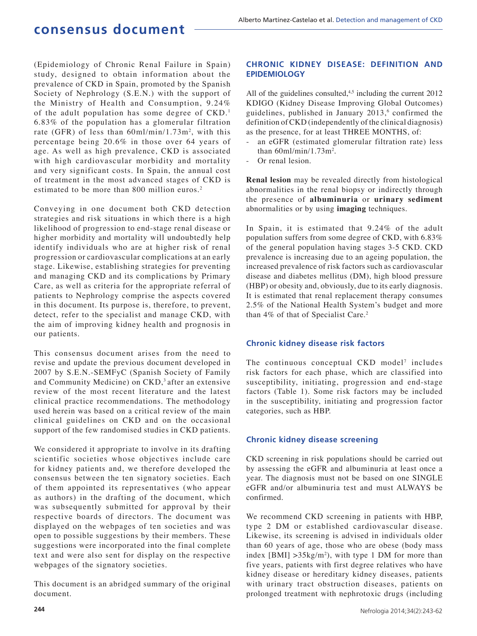(Epidemiology of Chronic Renal Failure in Spain) study, designed to obtain information about the prevalence of CKD in Spain, promoted by the Spanish Society of Nephrology (S.E.N.) with the support of the Ministry of Health and Consumption, 9.24% of the adult population has some degree of CKD.<sup>1</sup> 6.83% of the population has a glomerular filtration rate (GFR) of less than  $60 \text{ml/min}/1.73 \text{m}^2$ , with this percentage being 20.6% in those over 64 years of age. As well as high prevalence, CKD is associated with high cardiovascular morbidity and mortality and very significant costs. In Spain, the annual cost of treatment in the most advanced stages of CKD is estimated to be more than 800 million euros.<sup>2</sup>

Conveying in one document both CKD detection strategies and risk situations in which there is a high likelihood of progression to end-stage renal disease or higher morbidity and mortality will undoubtedly help identify individuals who are at higher risk of renal progression or cardiovascular complications at an early stage. Likewise, establishing strategies for preventing and managing CKD and its complications by Primary Care, as well as criteria for the appropriate referral of patients to Nephrology comprise the aspects covered in this document. Its purpose is, therefore, to prevent, detect, refer to the specialist and manage CKD, with the aim of improving kidney health and prognosis in our patients.

This consensus document arises from the need to revise and update the previous document developed in 2007 by S.E.N.-SEMFyC (Spanish Society of Family and Community Medicine) on  $CKD$ ,<sup>3</sup> after an extensive review of the most recent literature and the latest clinical practice recommendations. The methodology used herein was based on a critical review of the main clinical guidelines on CKD and on the occasional support of the few randomised studies in CKD patients.

We considered it appropriate to involve in its drafting scientific societies whose objectives include care for kidney patients and, we therefore developed the consensus between the ten signatory societies. Each of them appointed its representatives (who appear as authors) in the drafting of the document, which was subsequently submitted for approval by their respective boards of directors. The document was displayed on the webpages of ten societies and was open to possible suggestions by their members. These suggestions were incorporated into the final complete text and were also sent for display on the respective webpages of the signatory societies.

This document is an abridged summary of the original document.

## **CHRONIC KIDNEY DISEASE: DEFINITION AND EPIDEMIOLOGY**

All of the guidelines consulted, $4.5$  including the current 2012 KDIGO (Kidney Disease Improving Global Outcomes) guidelines, published in January  $2013$ , confirmed the definition of CKD (independently of the clinical diagnosis) as the presence, for at least THREE MONTHS, of:

- an eGFR (estimated glomerular filtration rate) less than  $60$ ml/min/1.73m<sup>2</sup>.
- Or renal lesion.

**Renal lesion** may be revealed directly from histological abnormalities in the renal biopsy or indirectly through the presence of **albuminuria** or **urinary sediment**  abnormalities or by using **imaging** techniques.

In Spain, it is estimated that 9.24% of the adult population suffers from some degree of CKD, with 6.83% of the general population having stages 3-5 CKD. CKD prevalence is increasing due to an ageing population, the increased prevalence of risk factors such as cardiovascular disease and diabetes mellitus (DM), high blood pressure (HBP) or obesity and, obviously, due to its early diagnosis. It is estimated that renal replacement therapy consumes 2.5% of the National Health System's budget and more than 4% of that of Specialist Care.<sup>2</sup>

## **Chronic kidney disease risk factors**

The continuous conceptual CKD model<sup>7</sup> includes risk factors for each phase, which are classified into susceptibility, initiating, progression and end-stage factors (Table 1). Some risk factors may be included in the susceptibility, initiating and progression factor categories, such as HBP.

## **Chronic kidney disease screening**

CKD screening in risk populations should be carried out by assessing the eGFR and albuminuria at least once a year. The diagnosis must not be based on one SINGLE eGFR and/or albuminuria test and must ALWAYS be confirmed.

We recommend CKD screening in patients with HBP, type 2 DM or established cardiovascular disease. Likewise, its screening is advised in individuals older than 60 years of age, those who are obese (body mass index  $[BMI] > 35 \text{kg/m}^2$ , with type 1 DM for more than five years, patients with first degree relatives who have kidney disease or hereditary kidney diseases, patients with urinary tract obstruction diseases, patients on prolonged treatment with nephrotoxic drugs (including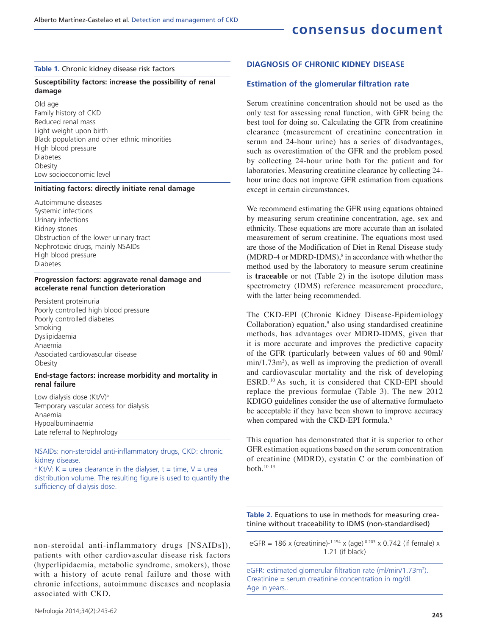#### **Table 1.** Chronic kidney disease risk factors

### **Susceptibility factors: increase the possibility of renal damage**

Old age Family history of CKD Reduced renal mass Light weight upon birth Black population and other ethnic minorities High blood pressure Diabetes Obesity Low socioeconomic level

### **Initiating factors: directly initiate renal damage**

Autoimmune diseases Systemic infections Urinary infections Kidney stones Obstruction of the lower urinary tract Nephrotoxic drugs, mainly NSAIDs High blood pressure Diabetes

#### **Progression factors: aggravate renal damage and accelerate renal function deterioration**

Persistent proteinuria Poorly controlled high blood pressure Poorly controlled diabetes Smoking Dyslipidaemia Anaemia Associated cardiovascular disease **Obesity** 

#### **End-stage factors: increase morbidity and mortality in renal failure**

Low dialysis dose (Kt/V)<sup>a</sup> Temporary vascular access for dialysis Anaemia Hypoalbuminaemia Late referral to Nephrology

NSAIDs: non-steroidal anti-inflammatory drugs, CKD: chronic kidney disease.

 $a$  Kt/V: K = urea clearance in the dialyser, t = time, V = urea distribution volume. The resulting figure is used to quantify the sufficiency of dialysis dose.

### **DIAGNOSIS OF CHRONIC KIDNEY DISEASE**

### **Estimation of the glomerular filtration rate**

Serum creatinine concentration should not be used as the only test for assessing renal function, with GFR being the best tool for doing so. Calculating the GFR from creatinine clearance (measurement of creatinine concentration in serum and 24-hour urine) has a series of disadvantages, such as overestimation of the GFR and the problem posed by collecting 24-hour urine both for the patient and for laboratories. Measuring creatinine clearance by collecting 24 hour urine does not improve GFR estimation from equations except in certain circumstances.

We recommend estimating the GFR using equations obtained by measuring serum creatinine concentration, age, sex and ethnicity. These equations are more accurate than an isolated measurement of serum creatinine. The equations most used are those of the Modification of Diet in Renal Disease study  $(MDRD-4$  or MDRD-IDMS), $\delta$  in accordance with whether the method used by the laboratory to measure serum creatinine is **traceable** or not (Table 2) in the isotope dilution mass spectrometry (IDMS) reference measurement procedure, with the latter being recommended.

The CKD-EPI (Chronic Kidney Disease-Epidemiology Collaboration) equation, $9$  also using standardised creatinine methods, has advantages over MDRD-IDMS, given that it is more accurate and improves the predictive capacity of the GFR (particularly between values of 60 and 90ml/ min/1.73m<sup>2</sup>), as well as improving the prediction of overall and cardiovascular mortality and the risk of developing ESRD.<sup>10</sup>As such, it is considered that CKD-EPI should replace the previous formulae (Table 3). The new 2012 KDIGO guidelines consider the use of alternative formulaeto be acceptable if they have been shown to improve accuracy when compared with the CKD-EPI formula.<sup>6</sup>

This equation has demonstrated that it is superior to other GFR estimation equations based on the serum concentration of creatinine (MDRD), cystatin C or the combination of both.10-13

**Table 2.** Equations to use in methods for measuring creatinine without traceability to IDMS (non-standardised)

non-steroidal anti-inflammatory drugs [NSAIDs]), patients with other cardiovascular disease risk factors (hyperlipidaemia, metabolic syndrome, smokers), those with a history of acute renal failure and those with chronic infections, autoimmune diseases and neoplasia associated with CKD.

eGFR = 186 x (creatinine)- $1.154$  x (age) $-0.203$  x 0.742 (if female) x 1.21 (if black)

eGFR: estimated glomerular filtration rate (ml/min/1.73m<sup>2</sup>). Creatinine = serum creatinine concentration in mg/dl. Age in years..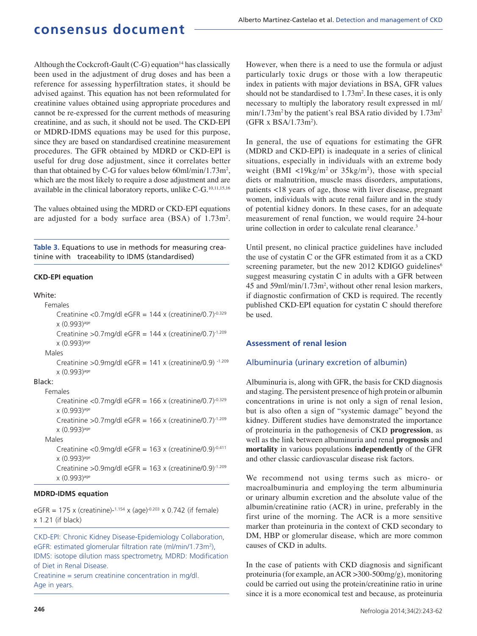Although the Cockcroft-Gault  $(C-G)$  equation<sup>14</sup> has classically been used in the adjustment of drug doses and has been a reference for assessing hyperfiltration states, it should be advised against. This equation has not been reformulated for creatinine values obtained using appropriate procedures and cannot be re-expressed for the current methods of measuring creatinine, and as such, it should not be used. The CKD-EPI or MDRD-IDMS equations may be used for this purpose, since they are based on standardised creatinine measurement procedures. The GFR obtained by MDRD or CKD-EPI is useful for drug dose adjustment, since it correlates better than that obtained by C-G for values below  $60$ ml/min/1.73m<sup>2</sup>, which are the most likely to require a dose adjustment and are available in the clinical laboratory reports, unlike C-G.10,11,15,16

The values obtained using the MDRD or CKD-EPI equations are adjusted for a body surface area  $(BSA)$  of  $1.73 \text{m}^2$ .

**Table 3.** Equations to use in methods for measuring creatinine with traceability to IDMS (standardised)

### **CKD-EPI equation**

### White:

## Females Creatinine <0.7mg/dl eGFR =  $144$  x (creatinine/0.7)<sup>-0.329</sup> x (0.993)age Creatinine >  $0.7$ mg/dl eGFR = 144 x (creatinine/0.7) $-1.209$ x (0.993)age Males Creatinine >  $0.9$ mg/dl eGFR = 141 x (creatinine/0.9)  $1.209$ x (0.993)age

#### Black:

#### Females

Creatinine < $0.7$ mg/dl eGFR = 166 x (creatinine/ $0.7$ )<sup>-0.329</sup> x (0.993)age

Creatinine >  $0.7$ mg/dl eGFR = 166 x (creatinine/0.7) $-1.209$ x (0.993)age

#### Males

Creatinine <0.9mg/dl eGFR =  $163$  x (creatinine/0.9)<sup>-0.411</sup> x (0.993)age

Creatinine >  $0.9$ mg/dl eGFR = 163 x (creatinine/ $0.9$ )<sup>-1.209</sup> x (0.993)age

### **MDRD-IDMS equation**

eGFR = 175 x (creatinine)- $1.154$  x (age) $-0.203$  x 0.742 (if female) x 1.21 (if black)

CKD-EPI: Chronic Kidney Disease-Epidemiology Collaboration, eGFR: estimated glomerular filtration rate (ml/min/1.73m<sup>2</sup>), IDMS: isotope dilution mass spectrometry, MDRD: Modification of Diet in Renal Disease.

Creatinine = serum creatinine concentration in mg/dl. Age in years.

However, when there is a need to use the formula or adjust particularly toxic drugs or those with a low therapeutic index in patients with major deviations in BSA, GFR values should not be standardised to  $1.73 \text{m}^2$ . In these cases, it is only necessary to multiply the laboratory result expressed in ml/  $min/1.73m<sup>2</sup>$  by the patient's real BSA ratio divided by  $1.73m<sup>2</sup>$  $(GFR x BSA/1.73m<sup>2</sup>)$ .

In general, the use of equations for estimating the GFR (MDRD and CKD-EPI) is inadequate in a series of clinical situations, especially in individuals with an extreme body weight (BMI  $\langle 19 \text{kg/m}^2 \text{ or } 35 \text{kg/m}^2 \rangle$ , those with special diets or malnutrition, muscle mass disorders, amputations, patients <18 years of age, those with liver disease, pregnant women, individuals with acute renal failure and in the study of potential kidney donors. In these cases, for an adequate measurement of renal function, we would require 24-hour urine collection in order to calculate renal clearance.<sup>3</sup>

Until present, no clinical practice guidelines have included the use of cystatin C or the GFR estimated from it as a CKD screening parameter, but the new 2012 KDIGO guidelines<sup>6</sup> suggest measuring cystatin C in adults with a GFR between 45 and 59ml/min/1.73m<sup>2</sup> , without other renal lesion markers, if diagnostic confirmation of CKD is required. The recently published CKD-EPI equation for cystatin C should therefore be used.

### **Assessment of renal lesion**

### Albuminuria (urinary excretion of albumin)

Albuminuria is, along with GFR, the basis for CKD diagnosis and staging. The persistent presence of high protein or albumin concentrations in urine is not only a sign of renal lesion, but is also often a sign of "systemic damage" beyond the kidney. Different studies have demonstrated the importance of proteinuria in the pathogenesis of CKD **progression**, as well as the link between albuminuria and renal **prognosis** and **mortality** in various populations **independently** of the GFR and other classic cardiovascular disease risk factors.

We recommend not using terms such as micro- or macroalbuminuria and employing the term albuminuria or urinary albumin excretion and the absolute value of the albumin/creatinine ratio (ACR) in urine, preferably in the first urine of the morning. The ACR is a more sensitive marker than proteinuria in the context of CKD secondary to DM, HBP or glomerular disease, which are more common causes of CKD in adults.

In the case of patients with CKD diagnosis and significant proteinuria (for example, an ACR >300-500mg/g), monitoring could be carried out using the protein/creatinine ratio in urine since it is a more economical test and because, as proteinuria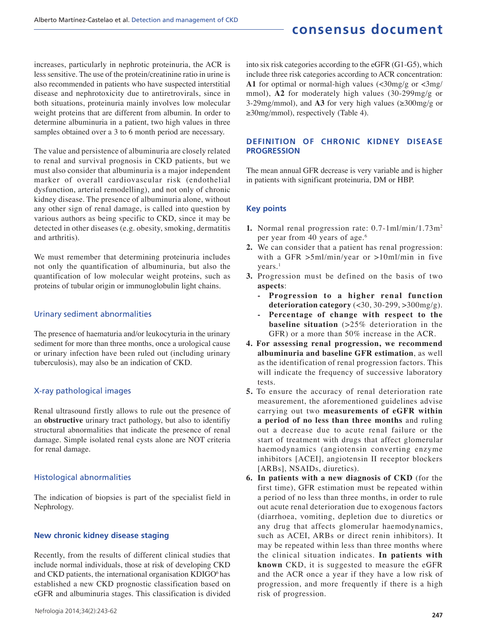increases, particularly in nephrotic proteinuria, the ACR is less sensitive. The use of the protein/creatinine ratio in urine is also recommended in patients who have suspected interstitial disease and nephrotoxicity due to antiretrovirals, since in both situations, proteinuria mainly involves low molecular weight proteins that are different from albumin. In order to determine albuminuria in a patient, two high values in three samples obtained over a 3 to 6 month period are necessary.

The value and persistence of albuminuria are closely related to renal and survival prognosis in CKD patients, but we must also consider that albuminuria is a major independent marker of overall cardiovascular risk (endothelial dysfunction, arterial remodelling), and not only of chronic kidney disease. The presence of albuminuria alone, without any other sign of renal damage, is called into question by various authors as being specific to CKD, since it may be detected in other diseases (e.g. obesity, smoking, dermatitis and arthritis).

We must remember that determining proteinuria includes not only the quantification of albuminuria, but also the quantification of low molecular weight proteins, such as proteins of tubular origin or immunoglobulin light chains.

### Urinary sediment abnormalities

The presence of haematuria and/or leukocyturia in the urinary sediment for more than three months, once a urological cause or urinary infection have been ruled out (including urinary tuberculosis), may also be an indication of CKD.

## X-ray pathological images

Renal ultrasound firstly allows to rule out the presence of an **obstructive** urinary tract pathology, but also to identifiy structural abnormalities that indicate the presence of renal damage. Simple isolated renal cysts alone are NOT criteria for renal damage.

## Histological abnormalities

The indication of biopsies is part of the specialist field in Nephrology.

## **New chronic kidney disease staging**

Recently, from the results of different clinical studies that include normal individuals, those at risk of developing CKD and CKD patients, the international organisation KDIGO<sup>6</sup>has established a new CKD prognostic classification based on eGFR and albuminuria stages. This classification is divided

into six risk categories according to the eGFR (G1-G5), which include three risk categories according to ACR concentration: **A1** for optimal or normal-high values  $\langle \langle 30 \rangle \rangle$  or  $\langle 3 \rangle$ mmol), **A2** for moderately high values (30-299mg/g or 3-29mg/mmol), and  $\overrightarrow{A3}$  for very high values ( $\geq 300$ mg/g or ≥30mg/mmol), respectively (Table 4).

## **DEFINITION OF CHRONIC KIDNEY DISEASE PROGRESSION**

The mean annual GFR decrease is very variable and is higher in patients with significant proteinuria, DM or HBP.

### **Key points**

- **1.** Normal renal progression rate: 0.7-1ml/min/1.73m<sup>2</sup> per year from 40 years of age.<sup>6</sup>
- **2.** We can consider that a patient has renal progression: with a GFR >5ml/min/year or >10ml/min in five  $years.<sup>1</sup>$
- **3.** Progression must be defined on the basis of two **aspects**:
	- **Progression to a higher renal function deterioration category** (<30, 30-299, >300mg/g).
	- **Percentage of change with respect to the baseline situation** (>25% deterioration in the GFR) or a more than 50% increase in the ACR.
- **4. For assessing renal progression, we recommend albuminuria and baseline GFR estimation**, as well as the identification of renal progression factors. This will indicate the frequency of successive laboratory tests.
- **5.** To ensure the accuracy of renal deterioration rate measurement, the aforementioned guidelines advise carrying out two **measurements of eGFR within a period of no less than three months** and ruling out a decrease due to acute renal failure or the start of treatment with drugs that affect glomerular haemodynamics (angiotensin converting enzyme inhibitors [ACEI], angiotensin II receptor blockers [ARBs], NSAIDs, diuretics).
- **6. In patients with a new diagnosis of CKD** (for the first time), GFR estimation must be repeated within a period of no less than three months, in order to rule out acute renal deterioration due to exogenous factors (diarrhoea, vomiting, depletion due to diuretics or any drug that affects glomerular haemodynamics, such as ACEI, ARBs or direct renin inhibitors). It may be repeated within less than three months where the clinical situation indicates. **In patients with known** CKD, it is suggested to measure the eGFR and the ACR once a year if they have a low risk of progression, and more frequently if there is a high risk of progression.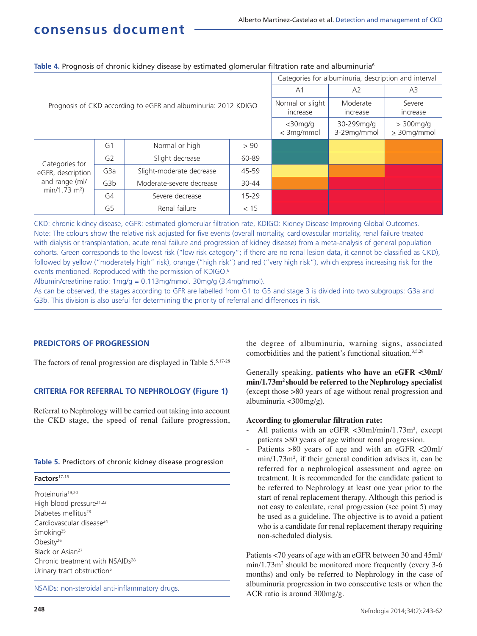|                                                                                      |                  |                                                                |                              | Categories for albuminuria, description and interval |                           |                                    |  |  |  |
|--------------------------------------------------------------------------------------|------------------|----------------------------------------------------------------|------------------------------|------------------------------------------------------|---------------------------|------------------------------------|--|--|--|
|                                                                                      |                  |                                                                | A <sub>1</sub>               | A2                                                   | A3                        |                                    |  |  |  |
|                                                                                      |                  | Prognosis of CKD according to eGFR and albuminuria: 2012 KDIGO | Normal or slight<br>increase | Moderate<br>increase                                 | Severe<br>increase        |                                    |  |  |  |
|                                                                                      |                  |                                                                |                              | $<$ 30mg/g<br>< 3mg/mmol                             | 30-299mg/g<br>3-29mg/mmol | $\geq$ 300mg/g<br>$\geq$ 30mg/mmol |  |  |  |
| Categories for<br>eGFR, description<br>and range (ml/<br>$min/1.73$ m <sup>2</sup> ) | G <sub>1</sub>   | Normal or high                                                 | > 90                         |                                                      |                           |                                    |  |  |  |
|                                                                                      | G <sub>2</sub>   | Slight decrease                                                | 60-89                        |                                                      |                           |                                    |  |  |  |
|                                                                                      | G <sub>3</sub> a | Slight-moderate decrease                                       | 45-59                        |                                                      |                           |                                    |  |  |  |
|                                                                                      | G3b              | Moderate-severe decrease                                       | $30 - 44$                    |                                                      |                           |                                    |  |  |  |
|                                                                                      | G4               | Severe decrease                                                | $15 - 29$                    |                                                      |                           |                                    |  |  |  |
|                                                                                      | G <sub>5</sub>   | Renal failure                                                  | < 15                         |                                                      |                           |                                    |  |  |  |

**Table 4.** Prognosis of chronic kidney disease by estimated glomerular filtration rate and albuminuria<sup>6</sup>

CKD: chronic kidney disease, eGFR: estimated glomerular filtration rate, KDIGO: Kidney Disease Improving Global Outcomes. Note: The colours show the relative risk adjusted for five events (overall mortality, cardiovascular mortality, renal failure treated with dialysis or transplantation, acute renal failure and progression of kidney disease) from a meta-analysis of general population cohorts. Green corresponds to the lowest risk ("low risk category"; if there are no renal lesion data, it cannot be classified as CKD), followed by yellow ("moderately high" risk), orange ("high risk") and red ("very high risk"), which express increasing risk for the events mentioned. Reproduced with the permission of KDIGO.<sup>6</sup>

Albumin/creatinine ratio: 1mg/g = 0.113mg/mmol. 30mg/g (3.4mg/mmol).

As can be observed, the stages according to GFR are labelled from G1 to G5 and stage 3 is divided into two subgroups: G3a and G3b. This division is also useful for determining the priority of referral and differences in risk.

## **PREDICTORS OF PROGRESSION**

The factors of renal progression are displayed in Table 5.5,17-28

## **CRITERIA FOR REFERRAL TO NEPHROLOGY (Figure 1)**

Referral to Nephrology will be carried out taking into account the CKD stage, the speed of renal failure progression,

### **Table 5.** Predictors of chronic kidney disease progression

## **Factors**17-18

Proteinuria<sup>19,20</sup> High blood pressure<sup>21,22</sup> Diabetes mellitus<sup>23</sup> Cardiovascular disease<sup>24</sup> Smoking<sup>25</sup> Obesity<sup>26</sup> Black or Asian<sup>27</sup> Chronic treatment with NSAIDs<sup>28</sup> Urinary tract obstruction<sup>5</sup>

NSAIDs: non-steroidal anti-inflammatory drugs.

the degree of albuminuria, warning signs, associated comorbidities and the patient's functional situation.<sup>3,5,29</sup>

Generally speaking, **patients who have an eGFR <30ml/ min/1.73m<sup>2</sup>should be referred to the Nephrology specialist**  (except those >80 years of age without renal progression and albuminuria <300mg/g).

## **According to glomerular filtration rate:**

- All patients with an eGFR <30ml/min/1.73m<sup>2</sup>, except patients >80 years of age without renal progression.
- Patients >80 years of age and with an eGFR <20ml/ min/1.73m<sup>2</sup>, if their general condition advises it, can be referred for a nephrological assessment and agree on treatment. It is recommended for the candidate patient to be referred to Nephrology at least one year prior to the start of renal replacement therapy. Although this period is not easy to calculate, renal progression (see point 5) may be used as a guideline. The objective is to avoid a patient who is a candidate for renal replacement therapy requiring non-scheduled dialysis.

Patients <70 years of age with an eGFR between 30 and 45ml/ min/1.73m<sup>2</sup> should be monitored more frequently (every 3-6 months) and only be referred to Nephrology in the case of albuminuria progression in two consecutive tests or when the ACR ratio is around 300mg/g.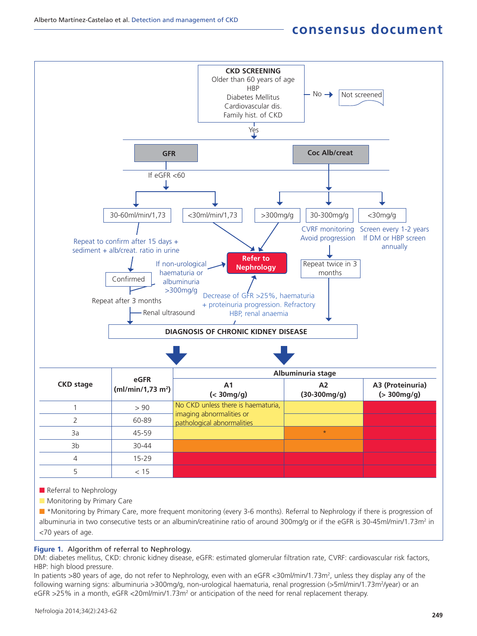

Referral to Nephrology

 $\blacksquare$  Monitoring by Primary Care

n \*Monitoring by Primary Care, more frequent monitoring (every 3-6 months). Referral to Nephrology if there is progression of albuminuria in two consecutive tests or an albumin/creatinine ratio of around 300mg/g or if the eGFR is 30-45ml/min/1.73m<sup>2</sup> in <70 years of age.

## **Figure 1.** Algorithm of referral to Nephrology.

DM: diabetes mellitus, CKD: chronic kidney disease, eGFR: estimated glomerular filtration rate, CVRF: cardiovascular risk factors, HBP: high blood pressure.

In patients >80 years of age, do not refer to Nephrology, even with an eGFR <30ml/min/1.73m<sup>2</sup>, unless they display any of the following warning signs: albuminuria >300mg/g, non-urological haematuria, renal progression (>5ml/min/1.73m<sup>2</sup>/year) or an eGFR >25% in a month, eGFR <20ml/min/1.73m<sup>2</sup> or anticipation of the need for renal replacement therapy.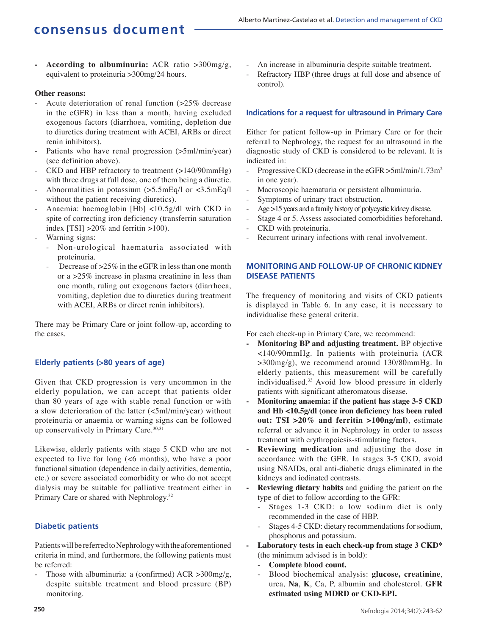**- According to albuminuria:** ACR ratio >300mg/g, equivalent to proteinuria >300mg/24 hours.

## **Other reasons:**

- Acute deterioration of renal function (>25% decrease in the eGFR) in less than a month, having excluded exogenous factors (diarrhoea, vomiting, depletion due to diuretics during treatment with ACEI, ARBs or direct renin inhibitors).
- Patients who have renal progression (>5ml/min/year) (see definition above).
- CKD and HBP refractory to treatment (>140/90mmHg) with three drugs at full dose, one of them being a diuretic.
- Abnormalities in potassium (>5.5mEq/l or <3.5mEq/l without the patient receiving diuretics).
- Anaemia: haemoglobin [Hb] <10.5g/dl with CKD in spite of correcting iron deficiency (transferrin saturation index  $[TSI] > 20\%$  and ferritin  $>100$ ).
- Warning signs:
	- Non-urological haematuria associated with proteinuria.
	- Decrease of  $>25\%$  in the eGFR in less than one month or a >25% increase in plasma creatinine in less than one month, ruling out exogenous factors (diarrhoea, vomiting, depletion due to diuretics during treatment with ACEI, ARBs or direct renin inhibitors).

There may be Primary Care or joint follow-up, according to the cases.

## **Elderly patients (>80 years of age)**

Given that CKD progression is very uncommon in the elderly population, we can accept that patients older than 80 years of age with stable renal function or with a slow deterioration of the latter (<5ml/min/year) without proteinuria or anaemia or warning signs can be followed up conservatively in Primary Care.<sup>30,31</sup>

Likewise, elderly patients with stage 5 CKD who are not expected to live for long (<6 months), who have a poor functional situation (dependence in daily activities, dementia, etc.) or severe associated comorbidity or who do not accept dialysis may be suitable for palliative treatment either in Primary Care or shared with Nephrology.<sup>32</sup>

## **Diabetic patients**

Patients will be referred to Nephrology with the aforementioned criteria in mind, and furthermore, the following patients must be referred:

Those with albuminuria: a (confirmed)  $ACR > 300$ mg/g, despite suitable treatment and blood pressure (BP) monitoring.

- An increase in albuminuria despite suitable treatment.
- Refractory HBP (three drugs at full dose and absence of control).

### **Indications for a request for ultrasound in Primary Care**

Either for patient follow-up in Primary Care or for their referral to Nephrology, the request for an ultrasound in the diagnostic study of CKD is considered to be relevant. It is indicated in:

- Progressive CKD (decrease in the eGFR >5ml/min/1.73m<sup>2</sup> in one year).
- Macroscopic haematuria or persistent albuminuria.
- Symptoms of urinary tract obstruction.
- Age >15 years and a family history of polycystic kidney disease.
- Stage 4 or 5. Assess associated comorbidities beforehand.
- CKD with proteinuria.
- Recurrent urinary infections with renal involvement.

## **MONITORING AND FOLLOW-UP OF CHRONIC KIDNEY DISEASE PATIENTS**

The frequency of monitoring and visits of CKD patients is displayed in Table 6. In any case, it is necessary to individualise these general criteria.

For each check-up in Primary Care, we recommend:

- **Monitoring BP and adjusting treatment.** BP objective <140/90mmHg. In patients with proteinuria (ACR  $>300$ mg/g), we recommend around 130/80mmHg. In elderly patients, this measurement will be carefully individualised.<sup>33</sup> Avoid low blood pressure in elderly patients with significant atheromatous disease.
- **Monitoring anaemia: if the patient has stage 3-5 CKD and Hb <10.5g/dl (once iron deficiency has been ruled out: TSI >20% and ferritin >100ng/ml)**, estimate referral or advance it in Nephrology in order to assess treatment with erythropoiesis-stimulating factors.
- **Reviewing medication** and adjusting the dose in accordance with the GFR. In stages 3-5 CKD, avoid using NSAIDs, oral anti-diabetic drugs eliminated in the kidneys and iodinated contrasts.
- **Reviewing dietary habits** and guiding the patient on the type of diet to follow according to the GFR:
	- Stages 1-3 CKD: a low sodium diet is only recommended in the case of HBP.
	- Stages 4-5 CKD: dietary recommendations for sodium, phosphorus and potassium.
- **Laboratory tests in each check-up from stage 3 CKD\*** (the minimum advised is in bold):
	- **Complete blood count.**
	- Blood biochemical analysis: **glucose, creatinine**, urea, **Na**, **K**, Ca, P, albumin and cholesterol. **GFR estimated using MDRD or CKD-EPI.**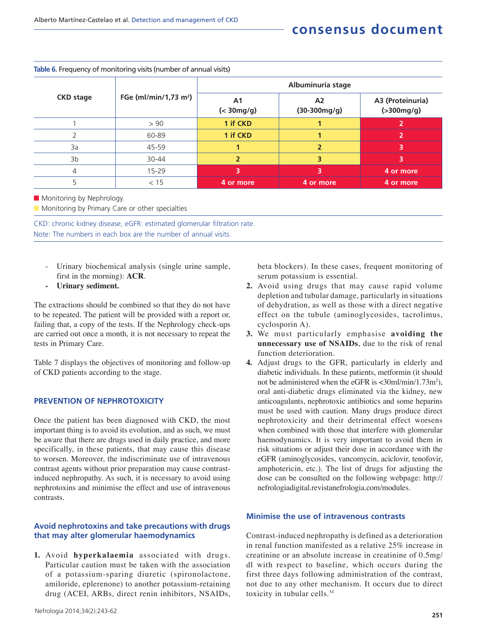|                  |                                   | Albuminuria stage                    |                                  |                                  |  |
|------------------|-----------------------------------|--------------------------------------|----------------------------------|----------------------------------|--|
| <b>CKD stage</b> | FGe (ml/min/1,73 m <sup>2</sup> ) | A <sub>1</sub><br>$(30 \text{mg/g})$ | A <sub>2</sub><br>$(30-300mg/g)$ | A3 (Proteinuria)<br>( > 300mg/g) |  |
|                  | > 90                              | 1 if CKD                             |                                  |                                  |  |
|                  | 60-89                             | 1 if CKD                             |                                  |                                  |  |
| 3a               | 45-59                             |                                      |                                  |                                  |  |
| 3 <sub>b</sub>   | 30-44                             |                                      |                                  |                                  |  |
| 4                | $15 - 29$                         | 3                                    | 3                                | 4 or more                        |  |
|                  | < 15                              | 4 or more                            | 4 or more                        | 4 or more                        |  |

### **Table 6.** Frequency of monitoring visits (number of annual visits)

**n** Monitoring by Nephrology.

Monitoring by Primary Care or other specialties

CKD: chronic kidney disease, eGFR: estimated glomerular filtration rate. Note: The numbers in each box are the number of annual visits.

- Urinary biochemical analysis (single urine sample, first in the morning): **ACR**.
- **Urinary sediment.**

The extractions should be combined so that they do not have to be repeated. The patient will be provided with a report or, failing that, a copy of the tests. If the Nephrology check-ups are carried out once a month, it is not necessary to repeat the tests in Primary Care.

Table 7 displays the objectives of monitoring and follow-up of CKD patients according to the stage.

### **PREVENTION OF NEPHROTOXICITY**

Once the patient has been diagnosed with CKD, the most important thing is to avoid its evolution, and as such, we must be aware that there are drugs used in daily practice, and more specifically, in these patients, that may cause this disease to worsen. Moreover, the indiscriminate use of intravenous contrast agents without prior preparation may cause contrastinduced nephropathy. As such, it is necessary to avoid using nephrotoxins and minimise the effect and use of intravenous contrasts.

### **Avoid nephrotoxins and take precautions with drugs that may alter glomerular haemodynamics**

**1.** Avoid **hyperkalaemia** associated with drugs. Particular caution must be taken with the association of a potassium-sparing diuretic (spironolactone, amiloride, eplerenone) to another potassium-retaining drug (ACEI, ARBs, direct renin inhibitors, NSAIDs,

beta blockers). In these cases, frequent monitoring of serum potassium is essential.

- **2.** Avoid using drugs that may cause rapid volume depletion and tubular damage, particularly in situations of dehydration, as well as those with a direct negative effect on the tubule (aminoglycosides, tacrolimus, cyclosporin A).
- **3.** We must particularly emphasise **avoiding the unnecessary use of NSAIDs**, due to the risk of renal function deterioration.
- **4.** Adjust drugs to the GFR, particularly in elderly and diabetic individuals. In these patients, metformin (it should not be administered when the eGFR is <30ml/min/1.73m<sup>2</sup>), oral anti-diabetic drugs eliminated via the kidney, new anticoagulants, nephrotoxic antibiotics and some heparins must be used with caution. Many drugs produce direct nephrotoxicity and their detrimental effect worsens when combined with those that interfere with glomerular haemodynamics. It is very important to avoid them in risk situations or adjust their dose in accordance with the eGFR (aminoglycosides, vancomycin, aciclovir, tenofovir, amphotericin, etc.). The list of drugs for adjusting the dose can be consulted on the following webpage: http:// nefrologiadigital.revistanefrologia.com/modules.

#### **Minimise the use of intravenous contrasts**

Contrast-induced nephropathy is defined as a deterioration in renal function manifested as a relative 25% increase in creatinine or an absolute increase in creatinine of 0.5mg/ dl with respect to baseline, which occurs during the first three days following administration of the contrast, not due to any other mechanism. It occurs due to direct toxicity in tubular cells.<sup>34</sup>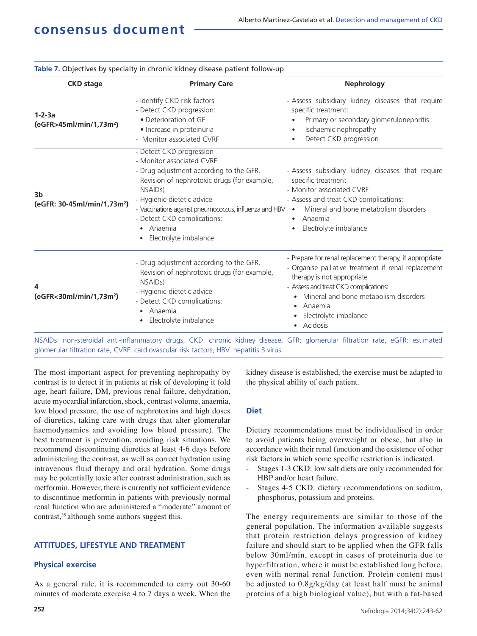| <b>CKD</b> stage                                          | <b>Primary Care</b>                                                                                                                                                                                                                                                                                                                               | <b>Nephrology</b>                                                                                                                                                                                                                                                                                 |  |  |
|-----------------------------------------------------------|---------------------------------------------------------------------------------------------------------------------------------------------------------------------------------------------------------------------------------------------------------------------------------------------------------------------------------------------------|---------------------------------------------------------------------------------------------------------------------------------------------------------------------------------------------------------------------------------------------------------------------------------------------------|--|--|
| $1 - 2 - 3a$<br>(eGFR>45ml/min/1,73m <sup>2</sup> )       | - Identify CKD risk factors<br>- Detect CKD progression:<br>• Deterioration of GF<br>· Increase in proteinuria<br>- Monitor associated CVRF                                                                                                                                                                                                       | - Assess subsidiary kidney diseases that require<br>specific treatment:<br>Primary or secondary glomerulonephritis<br>Ischaemic nephropathy<br>$\bullet$<br>Detect CKD progression                                                                                                                |  |  |
| 3 <sub>b</sub><br>(eGFR: 30-45ml/min/1,73m <sup>2</sup> ) | - Detect CKD progression<br>- Monitor associated CVRF<br>- Drug adjustment according to the GFR.<br>Revision of nephrotoxic drugs (for example,<br>NSAID <sub>s</sub> )<br>- Hygienic-dietetic advice<br>- Vaccinations against pneumococcus, influenza and HBV .<br>- Detect CKD complications:<br>Anaemia<br>$\bullet$<br>Electrolyte imbalance | - Assess subsidiary kidney diseases that require<br>specific treatment<br>- Monitor associated CVRF<br>- Assess and treat CKD complications:<br>Mineral and bone metabolism disorders<br>Anaemia<br>$\bullet$<br>Electrolyte imbalance                                                            |  |  |
| 4<br>(eGFR<30ml/min/1,73m <sup>2</sup> )                  | - Drug adjustment according to the GFR.<br>Revision of nephrotoxic drugs (for example,<br>NSAID <sub>s</sub> )<br>- Hygienic-dietetic advice<br>- Detect CKD complications:<br>Anaemia<br>$\bullet$<br>Electrolyte imbalance                                                                                                                      | - Prepare for renal replacement therapy, if appropriate<br>- Organise palliative treatment if renal replacement<br>therapy is not appropriate<br>- Assess and treat CKD complications:<br>Mineral and bone metabolism disorders<br>Anaemia<br>$\bullet$<br>Electrolyte imbalance<br>Acidosis<br>٠ |  |  |

**Table 7.** Objectives by specialty in chronic kidney disease patient follow-up

NSAIDs: non-steroidal anti-inflammatory drugs, CKD: chronic kidney disease, GFR: glomerular filtration rate, eGFR: estimated glomerular filtration rate, CVRF: cardiovascular risk factors, HBV: hepatitis B virus.

The most important aspect for preventing nephropathy by contrast is to detect it in patients at risk of developing it (old age, heart failure, DM, previous renal failure, dehydration, acute myocardial infarction, shock, contrast volume, anaemia, low blood pressure, the use of nephrotoxins and high doses of diuretics, taking care with drugs that alter glomerular haemodynamics and avoiding low blood pressure). The best treatment is prevention, avoiding risk situations. We recommend discontinuing diuretics at least 4-6 days before administering the contrast, as well as correct hydration using intravenous fluid therapy and oral hydration. Some drugs may be potentially toxic after contrast administration, such as metformin. However, there is currently not sufficient evidence to discontinue metformin in patients with previously normal renal function who are administered a "moderate" amount of contrast,<sup>35</sup> although some authors suggest this.

## **ATTITUDES, LIFESTYLE AND TREATMENT**

## **Physical exercise**

As a general rule, it is recommended to carry out 30-60 minutes of moderate exercise 4 to 7 days a week. When the kidney disease is established, the exercise must be adapted to the physical ability of each patient.

### **Diet**

Dietary recommendations must be individualised in order to avoid patients being overweight or obese, but also in accordance with their renal function and the existence of other risk factors in which some specific restriction is indicated.

- Stages 1-3 CKD: low salt diets are only recommended for HBP and/or heart failure.
- Stages 4-5 CKD: dietary recommendations on sodium, phosphorus, potassium and proteins.

The energy requirements are similar to those of the general population. The information available suggests that protein restriction delays progression of kidney failure and should start to be applied when the GFR falls below 30ml/min, except in cases of proteinuria due to hyperfiltration, where it must be established long before, even with normal renal function. Protein content must be adjusted to 0.8g/kg/day (at least half must be animal proteins of a high biological value), but with a fat-based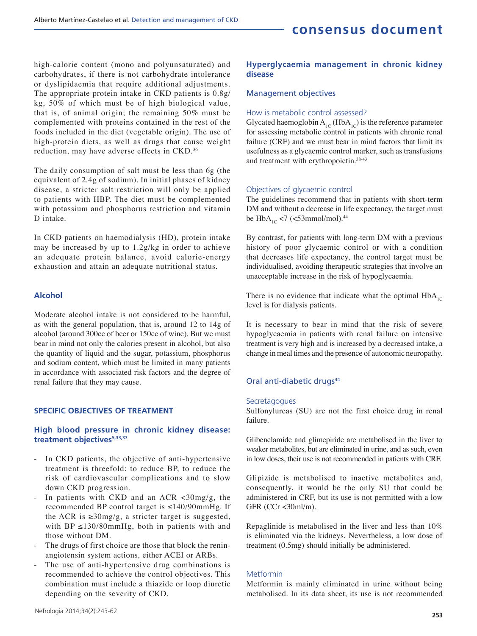high-calorie content (mono and polyunsaturated) and carbohydrates, if there is not carbohydrate intolerance or dyslipidaemia that require additional adjustments. The appropriate protein intake in CKD patients is 0.8g/ kg, 50% of which must be of high biological value, that is, of animal origin; the remaining 50% must be complemented with proteins contained in the rest of the foods included in the diet (vegetable origin). The use of high-protein diets, as well as drugs that cause weight reduction, may have adverse effects in CKD.<sup>36</sup>

The daily consumption of salt must be less than 6g (the equivalent of 2.4g of sodium). In initial phases of kidney disease, a stricter salt restriction will only be applied to patients with HBP. The diet must be complemented with potassium and phosphorus restriction and vitamin D intake.

In CKD patients on haemodialysis (HD), protein intake may be increased by up to 1.2g/kg in order to achieve an adequate protein balance, avoid calorie-energy exhaustion and attain an adequate nutritional status.

### **Alcohol**

Moderate alcohol intake is not considered to be harmful, as with the general population, that is, around 12 to 14g of alcohol (around 300cc of beer or 150cc of wine). But we must bear in mind not only the calories present in alcohol, but also the quantity of liquid and the sugar, potassium, phosphorus and sodium content, which must be limited in many patients in accordance with associated risk factors and the degree of renal failure that they may cause.

## **SPECIFIC OBJECTIVES OF TREATMENT**

### **High blood pressure in chronic kidney disease: treatment objectives5,33,37**

- In CKD patients, the objective of anti-hypertensive treatment is threefold: to reduce BP, to reduce the risk of cardiovascular complications and to slow down CKD progression.
- In patients with CKD and an ACR  $\langle 30 \text{mg/g}, \text{the} \rangle$ recommended BP control target is ≤140/90mmHg. If the ACR is  $\geq$ 30mg/g, a stricter target is suggested, with  $BP \leq 130/80$ mmHg, both in patients with and those without DM.
- The drugs of first choice are those that block the reninangiotensin system actions, either ACEI or ARBs.
- The use of anti-hypertensive drug combinations is recommended to achieve the control objectives. This combination must include a thiazide or loop diuretic depending on the severity of CKD.

## **Hyperglycaemia management in chronic kidney disease**

### Management objectives

### How is metabolic control assessed?

Glycated haemoglobin  $A_{1C}$  (Hb $A_{1C}$ ) is the reference parameter for assessing metabolic control in patients with chronic renal failure (CRF) and we must bear in mind factors that limit its usefulness as a glycaemic control marker, such as transfusions and treatment with erythropoietin.38-43

### Objectives of glycaemic control

The guidelines recommend that in patients with short-term DM and without a decrease in life expectancy, the target must be  $HbA_{1C}$  <7 (<53mmol/mol).<sup>44</sup>

By contrast, for patients with long-term DM with a previous history of poor glycaemic control or with a condition that decreases life expectancy, the control target must be individualised, avoiding therapeutic strategies that involve an unacceptable increase in the risk of hypoglycaemia.

There is no evidence that indicate what the optimal  $H\ddot{\theta}A_{1C}$ level is for dialysis patients.

It is necessary to bear in mind that the risk of severe hypoglycaemia in patients with renal failure on intensive treatment is very high and is increased by a decreased intake, a change in meal times and the presence of autonomic neuropathy.

### Oral anti-diabetic drugs<sup>44</sup>

#### Secretagogues

Sulfonylureas (SU) are not the first choice drug in renal failure.

Glibenclamide and glimepiride are metabolised in the liver to weaker metabolites, but are eliminated in urine, and as such, even in low doses, their use is not recommended in patients with CRF.

Glipizide is metabolised to inactive metabolites and, consequently, it would be the only SU that could be administered in CRF, but its use is not permitted with a low GFR (CCr <30ml/m).

Repaglinide is metabolised in the liver and less than 10% is eliminated via the kidneys. Nevertheless, a low dose of treatment (0.5mg) should initially be administered.

### Metformin

Metformin is mainly eliminated in urine without being metabolised. In its data sheet, its use is not recommended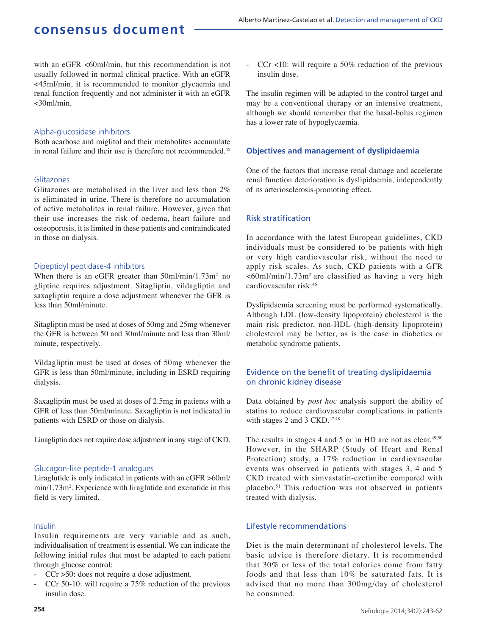with an eGFR <60ml/min, but this recommendation is not usually followed in normal clinical practice. With an eGFR <45ml/min, it is recommended to monitor glycaemia and renal function frequently and not administer it with an eGFR <30ml/min.

### Alpha-glucosidase inhibitors

Both acarbose and miglitol and their metabolites accumulate in renal failure and their use is therefore not recommended.<sup>45</sup>

### Glitazones

Glitazones are metabolised in the liver and less than 2% is eliminated in urine. There is therefore no accumulation of active metabolites in renal failure. However, given that their use increases the risk of oedema, heart failure and osteoporosis, it is limited in these patients and contraindicated in those on dialysis.

### Dipeptidyl peptidase-4 inhibitors

When there is an eGFR greater than  $50$ ml/min/1.73m<sup>2</sup> no when there is an extra greater than some hand them the gliptine requires adjustment. Sitagliptin, vildagliptin and saxagliptin require a dose adjustment whenever the GFR is less than 50ml/minute.

Sitagliptin must be used at doses of 50mg and 25mg whenever the GFR is between 50 and 30ml/minute and less than 30ml/ minute, respectively.

Vildagliptin must be used at doses of 50mg whenever the GFR is less than 50ml/minute, including in ESRD requiring dialysis.

Saxagliptin must be used at doses of 2.5mg in patients with a GFR of less than 50ml/minute. Saxagliptin is not indicated in patients with ESRD or those on dialysis.

Linagliptin does not require dose adjustment in any stage of CKD.

### Glucagon-like peptide-1 analogues

Liraglutide is only indicated in patients with an eGFR >60ml/ min/1.73m<sup>2</sup>. Experience with liraglutide and exenatide in this field is very limited.

### Insulin

Insulin requirements are very variable and as such, individualisation of treatment is essential. We can indicate the following initial rules that must be adapted to each patient through glucose control:

- $CCr$  >50: does not require a dose adjustment.
- CCr 50-10: will require a 75% reduction of the previous insulin dose.

- CCr <10: will require a 50% reduction of the previous insulin dose.

The insulin regimen will be adapted to the control target and may be a conventional therapy or an intensive treatment, although we should remember that the basal-bolus regimen has a lower rate of hypoglycaemia.

## **Objectives and management of dyslipidaemia**

One of the factors that increase renal damage and accelerate renal function deterioration is dyslipidaemia, independently of its arteriosclerosis-promoting effect.

## Risk stratification

In accordance with the latest European guidelines, CKD individuals must be considered to be patients with high or very high cardiovascular risk, without the need to apply risk scales. As such, CKD patients with a GFR  $<60$ ml/min/1.73m<sup>2</sup> are classified as having a very high cardiovascular risk.<sup>46</sup>

Dyslipidaemia screening must be performed systematically. Although LDL (low-density lipoprotein) cholesterol is the main risk predictor, non-HDL (high-density lipoprotein) cholesterol may be better, as is the case in diabetics or metabolic syndrome patients.

## Evidence on the benefit of treating dyslipidaemia on chronic kidney disease

Data obtained by *post hoc* analysis support the ability of statins to reduce cardiovascular complications in patients with stages 2 and 3 CKD.<sup>47,48</sup>

The results in stages 4 and 5 or in HD are not as clear.<sup>49,50</sup> However, in the SHARP (Study of Heart and Renal Protection) study, a 17% reduction in cardiovascular events was observed in patients with stages 3, 4 and 5 CKD treated with simvastatin-ezetimibe compared with placebo.<sup>51</sup> This reduction was not observed in patients treated with dialysis.

## Lifestyle recommendations

Diet is the main determinant of cholesterol levels. The basic advice is therefore dietary. It is recommended that 30% or less of the total calories come from fatty foods and that less than 10% be saturated fats. It is advised that no more than 300mg/day of cholesterol be consumed.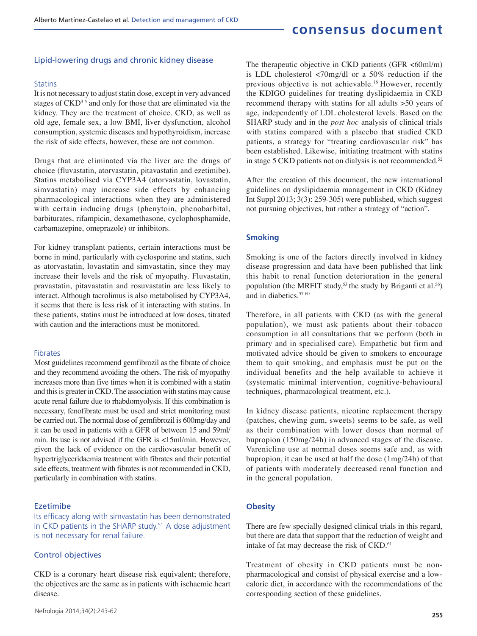### Lipid-lowering drugs and chronic kidney disease

#### **Statins**

It is not necessary to adjust statin dose, except in very advanced stages of CKD<sup>3-5</sup> and only for those that are eliminated via the kidney. They are the treatment of choice. CKD, as well as old age, female sex, a low BMI, liver dysfunction, alcohol consumption, systemic diseases and hypothyroidism, increase the risk of side effects, however, these are not common.

Drugs that are eliminated via the liver are the drugs of choice (fluvastatin, atorvastatin, pitavastatin and ezetimibe). Statins metabolised via CYP3A4 (atorvastatin, lovastatin, simvastatin) may increase side effects by enhancing pharmacological interactions when they are administered with certain inducing drugs (phenytoin, phenobarbital, barbiturates, rifampicin, dexamethasone, cyclophosphamide, carbamazepine, omeprazole) or inhibitors.

For kidney transplant patients, certain interactions must be borne in mind, particularly with cyclosporine and statins, such as atorvastatin, lovastatin and simvastatin, since they may increase their levels and the risk of myopathy. Fluvastatin, pravastatin, pitavastatin and rosuvastatin are less likely to interact. Although tacrolimus is also metabolised by CYP3A4, it seems that there is less risk of it interacting with statins. In these patients, statins must be introduced at low doses, titrated with caution and the interactions must be monitored.

#### Fibrates

Most guidelines recommend gemfibrozil as the fibrate of choice and they recommend avoiding the others. The risk of myopathy increases more than five times when it is combined with a statin and this is greater in CKD. The association with statins may cause acute renal failure due to rhabdomyolysis. If this combination is necessary, fenofibrate must be used and strict monitoring must be carried out. The normal dose of gemfibrozil is 600mg/day and it can be used in patients with a GFR of between 15 and 59ml/ min. Its use is not advised if the GFR is <15ml/min. However, given the lack of evidence on the cardiovascular benefit of hypertriglyceridaemia treatment with fibrates and their potential side effects, treatment with fibrates is not recommended in CKD, particularly in combination with statins.

### Ezetimibe

Its efficacy along with simvastatin has been demonstrated in CKD patients in the SHARP study.<sup>51</sup> A dose adjustment is not necessary for renal failure.

### Control objectives

CKD is a coronary heart disease risk equivalent; therefore, the objectives are the same as in patients with ischaemic heart disease.

The therapeutic objective in CKD patients (GFR  $\leq 60$ ml/m) is LDL cholesterol <70mg/dl or a 50% reduction if the previous objective is not achievable.<sup>16</sup> However, recently the KDIGO guidelines for treating dyslipidaemia in CKD recommend therapy with statins for all adults >50 years of age, independently of LDL cholesterol levels. Based on the SHARP study and in the *post hoc* analysis of clinical trials with statins compared with a placebo that studied CKD patients, a strategy for "treating cardiovascular risk" has been established. Likewise, initiating treatment with statins in stage 5 CKD patients not on dialysis is not recommended.<sup>52</sup>

After the creation of this document, the new international guidelines on dyslipidaemia management in CKD (Kidney Int Suppl 2013; 3(3): 259-305) were published, which suggest not pursuing objectives, but rather a strategy of "action".

### **Smoking**

Smoking is one of the factors directly involved in kidney disease progression and data have been published that link this habit to renal function deterioration in the general population (the MRFIT study,<sup>53</sup> the study by Briganti et al.<sup>56</sup>) and in diabetics.57-60

Therefore, in all patients with CKD (as with the general population), we must ask patients about their tobacco consumption in all consultations that we perform (both in primary and in specialised care). Empathetic but firm and motivated advice should be given to smokers to encourage them to quit smoking, and emphasis must be put on the individual benefits and the help available to achieve it (systematic minimal intervention, cognitive-behavioural techniques, pharmacological treatment, etc.).

In kidney disease patients, nicotine replacement therapy (patches, chewing gum, sweets) seems to be safe, as well as their combination with lower doses than normal of bupropion (150mg/24h) in advanced stages of the disease. Varenicline use at normal doses seems safe and, as with bupropion, it can be used at half the dose (1mg/24h) of that of patients with moderately decreased renal function and in the general population.

### **Obesity**

There are few specially designed clinical trials in this regard, but there are data that support that the reduction of weight and intake of fat may decrease the risk of CKD.<sup>61</sup>

Treatment of obesity in CKD patients must be nonpharmacological and consist of physical exercise and a lowcalorie diet, in accordance with the recommendations of the corresponding section of these guidelines.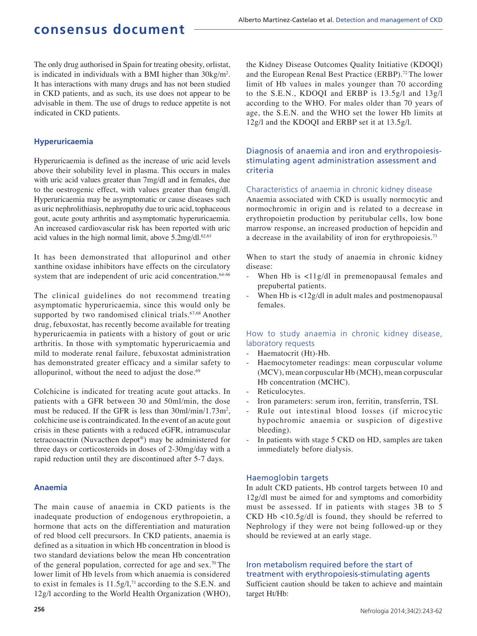The only drug authorised in Spain for treating obesity, orlistat, is indicated in individuals with a BMI higher than  $30\text{kg/m}^2$ . It has interactions with many drugs and has not been studied in CKD patients, and as such, its use does not appear to be advisable in them. The use of drugs to reduce appetite is not indicated in CKD patients.

### **Hyperuricaemia**

Hyperuricaemia is defined as the increase of uric acid levels above their solubility level in plasma. This occurs in males with uric acid values greater than 7mg/dl and in females, due to the oestrogenic effect, with values greater than 6mg/dl. Hyperuricaemia may be asymptomatic or cause diseases such as uric nephrolithiasis, nephropathy due to uric acid, tophaceous gout, acute gouty arthritis and asymptomatic hyperuricaemia. An increased cardiovascular risk has been reported with uric acid values in the high normal limit, above  $5.2 \text{mg/d}$ .<sup>62,63</sup>

It has been demonstrated that allopurinol and other xanthine oxidase inhibitors have effects on the circulatory system that are independent of uric acid concentration.<sup>64-66</sup>

The clinical guidelines do not recommend treating asymptomatic hyperuricaemia, since this would only be supported by two randomised clinical trials.<sup>67,68</sup> Another drug, febuxostat, has recently become available for treating hyperuricaemia in patients with a history of gout or uric arthritis. In those with symptomatic hyperuricaemia and mild to moderate renal failure, febuxostat administration has demonstrated greater efficacy and a similar safety to allopurinol, without the need to adjust the dose. $69$ 

Colchicine is indicated for treating acute gout attacks. In patients with a GFR between 30 and 50ml/min, the dose must be reduced. If the GFR is less than  $30$ ml/min/1.73m<sup>2</sup>, colchicine use is contraindicated. In the event of an acute gout crisis in these patients with a reduced eGFR, intramuscular tetracosactrin (Nuvacthen depot® ) may be administered for three days or corticosteroids in doses of 2-30mg/day with a rapid reduction until they are discontinued after 5-7 days.

### **Anaemia**

The main cause of anaemia in CKD patients is the inadequate production of endogenous erythropoietin, a hormone that acts on the differentiation and maturation of red blood cell precursors. In CKD patients, anaemia is defined as a situation in which Hb concentration in blood is two standard deviations below the mean Hb concentration of the general population, corrected for age and sex.<sup>70</sup>The lower limit of Hb levels from which anaemia is considered to exist in females is 11.5g/l,<sup>71</sup> according to the S.E.N. and 12g/l according to the World Health Organization (WHO),

the Kidney Disease Outcomes Quality Initiative (KDOQI) and the European Renal Best Practice (ERBP).<sup>72</sup> The lower limit of Hb values in males younger than 70 according to the S.E.N., KDOQI and ERBP is 13.5g/l and 13g/l according to the WHO. For males older than 70 years of age, the S.E.N. and the WHO set the lower Hb limits at 12g/l and the KDOQI and ERBP set it at 13.5g/l.

## Diagnosis of anaemia and iron and erythropoiesisstimulating agent administration assessment and criteria

#### Characteristics of anaemia in chronic kidney disease

Anaemia associated with CKD is usually normocytic and normochromic in origin and is related to a decrease in erythropoietin production by peritubular cells, low bone marrow response, an increased production of hepcidin and a decrease in the availability of iron for erythropoiesis.<sup>73</sup>

When to start the study of anaemia in chronic kidney disease:

- When Hb is <11g/dl in premenopausal females and prepubertal patients.
- When Hb is  $\langle 12g/dl \rangle$  in adult males and postmenopausal females.

## How to study anaemia in chronic kidney disease, laboratory requests

- Haematocrit (Ht)-Hb.
- Haemocytometer readings: mean corpuscular volume (MCV), mean corpuscular Hb (MCH), mean corpuscular Hb concentration (MCHC).
- Reticulocytes.
- Iron parameters: serum iron, ferritin, transferrin, TSI.
- Rule out intestinal blood losses (if microcytic hypochromic anaemia or suspicion of digestive bleeding).
- In patients with stage 5 CKD on HD, samples are taken immediately before dialysis.

#### Haemoglobin targets

In adult CKD patients, Hb control targets between 10 and 12g/dl must be aimed for and symptoms and comorbidity must be assessed. If in patients with stages 3B to 5 CKD Hb <10.5g/dl is found, they should be referred to Nephrology if they were not being followed-up or they should be reviewed at an early stage.

## Iron metabolism required before the start of treatment with erythropoiesis-stimulating agents

Sufficient caution should be taken to achieve and maintain target Ht/Hb: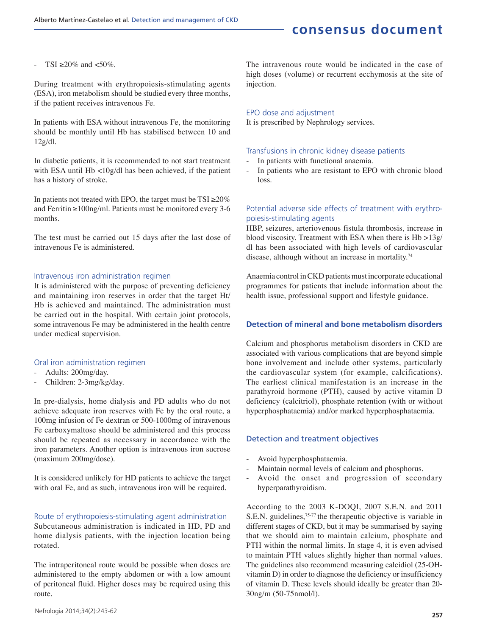TSI  $\geq 20\%$  and  $\lt 50\%$ .

During treatment with erythropoiesis-stimulating agents (ESA), iron metabolism should be studied every three months, if the patient receives intravenous Fe.

In patients with ESA without intravenous Fe, the monitoring should be monthly until Hb has stabilised between 10 and 12g/dl.

In diabetic patients, it is recommended to not start treatment with ESA until Hb <10g/dl has been achieved, if the patient has a history of stroke.

In patients not treated with EPO, the target must be  $TSI \ge 20\%$ and Ferritin ≥100ng/ml. Patients must be monitored every 3-6 months.

The test must be carried out 15 days after the last dose of intravenous Fe is administered.

### Intravenous iron administration regimen

It is administered with the purpose of preventing deficiency and maintaining iron reserves in order that the target Ht/ Hb is achieved and maintained. The administration must be carried out in the hospital. With certain joint protocols, some intravenous Fe may be administered in the health centre under medical supervision.

## Oral iron administration regimen

- Adults: 200mg/day.
- Children: 2-3mg/kg/day.

In pre-dialysis, home dialysis and PD adults who do not achieve adequate iron reserves with Fe by the oral route, a 100mg infusion of Fe dextran or 500-1000mg of intravenous Fe carboxymaltose should be administered and this process should be repeated as necessary in accordance with the iron parameters. Another option is intravenous iron sucrose (maximum 200mg/dose).

It is considered unlikely for HD patients to achieve the target with oral Fe, and as such, intravenous iron will be required.

Route of erythropoiesis-stimulating agent administration Subcutaneous administration is indicated in HD, PD and home dialysis patients, with the injection location being rotated.

The intraperitoneal route would be possible when doses are administered to the empty abdomen or with a low amount of peritoneal fluid. Higher doses may be required using this route.

The intravenous route would be indicated in the case of high doses (volume) or recurrent ecchymosis at the site of injection.

## EPO dose and adjustment

It is prescribed by Nephrology services.

## Transfusions in chronic kidney disease patients

- In patients with functional anaemia.
- In patients who are resistant to EPO with chronic blood loss.

## Potential adverse side effects of treatment with erythropoiesis-stimulating agents

HBP, seizures, arteriovenous fistula thrombosis, increase in blood viscosity. Treatment with ESA when there is Hb >13g/ dl has been associated with high levels of cardiovascular disease, although without an increase in mortality.<sup>74</sup>

Anaemia control in CKD patients must incorporate educational programmes for patients that include information about the health issue, professional support and lifestyle guidance.

## **Detection of mineral and bone metabolism disorders**

Calcium and phosphorus metabolism disorders in CKD are associated with various complications that are beyond simple bone involvement and include other systems, particularly the cardiovascular system (for example, calcifications). The earliest clinical manifestation is an increase in the parathyroid hormone (PTH), caused by active vitamin D deficiency (calcitriol), phosphate retention (with or without hyperphosphataemia) and/or marked hyperphosphataemia.

## Detection and treatment objectives

- Avoid hyperphosphataemia.
- Maintain normal levels of calcium and phosphorus.
- Avoid the onset and progression of secondary hyperparathyroidism.

According to the 2003 K-DOQI, 2007 S.E.N. and 2011 S.E.N. guidelines,<sup>75-77</sup> the therapeutic objective is variable in different stages of CKD, but it may be summarised by saying that we should aim to maintain calcium, phosphate and PTH within the normal limits. In stage 4, it is even advised to maintain PTH values slightly higher than normal values. The guidelines also recommend measuring calcidiol (25-OHvitamin D) in order to diagnose the deficiency or insufficiency of vitamin D. These levels should ideally be greater than 20- 30ng/m (50-75nmol/l).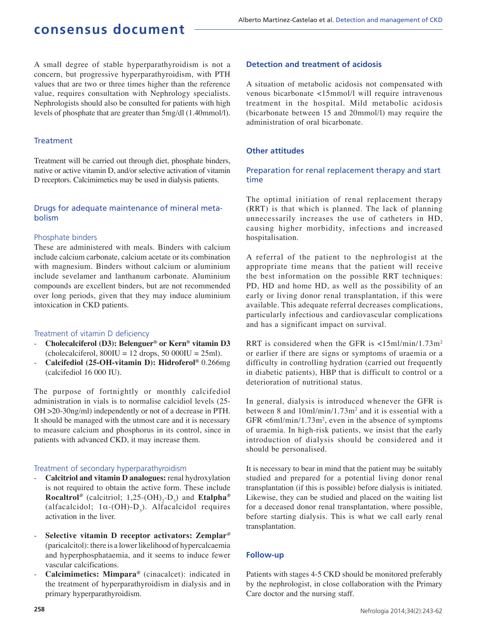A small degree of stable hyperparathyroidism is not a concern, but progressive hyperparathyroidism, with PTH values that are two or three times higher than the reference value, requires consultation with Nephrology specialists. Nephrologists should also be consulted for patients with high levels of phosphate that are greater than 5mg/dl (1.40mmol/l).

### **Treatment**

Treatment will be carried out through diet, phosphate binders, native or active vitamin D, and/or selective activation of vitamin D receptors. Calcimimetics may be used in dialysis patients.

## Drugs for adequate maintenance of mineral metabolism

### Phosphate binders

These are administered with meals. Binders with calcium include calcium carbonate, calcium acetate or its combination with magnesium. Binders without calcium or aluminium include sevelamer and lanthanum carbonate. Aluminium compounds are excellent binders, but are not recommended over long periods, given that they may induce aluminium intoxication in CKD patients.

### Treatment of vitamin D deficiency

- **Cholecalciferol (D3): Belenguer® or Kern® vitamin D3**   $(cholecalciferol, 800IU = 12 drops, 50 000IU = 25ml).$
- **Calcifediol (25-OH-vitamin D): Hidroferol®** 0.266mg (calcifediol 16 000 IU).

The purpose of fortnightly or monthly calcifediol administration in vials is to normalise calcidiol levels (25- OH >20-30ng/ml) independently or not of a decrease in PTH. It should be managed with the utmost care and it is necessary to measure calcium and phosphorus in its control, since in patients with advanced CKD, it may increase them.

## Treatment of secondary hyperparathyroidism

- **Calcitriol and vitamin D analogues:** renal hydroxylation is not required to obtain the active form. These include **Rocaltrol**<sup>®</sup> (calcitriol; 1,25-(OH)<sub>2</sub>-D<sub>3</sub>) and **Etalpha**<sup>®</sup> (alfacalcidol;  $1\alpha$ -(OH)- $D_3$ ). Alfacalcidol requires activation in the liver.
- **Selective vitamin D receptor activators: Zemplar***®* (paricalcitol): there is a lower likelihood of hypercalcaemia and hyperphosphataemia, and it seems to induce fewer vascular calcifications.
- **Calcimimetics: Mimpara***®* (cinacalcet): indicated in the treatment of hyperparathyroidism in dialysis and in primary hyperparathyroidism.

### **Detection and treatment of acidosis**

A situation of metabolic acidosis not compensated with venous bicarbonate <15mmol/l will require intravenous treatment in the hospital. Mild metabolic acidosis (bicarbonate between 15 and 20mmol/l) may require the administration of oral bicarbonate.

## **Other attitudes**

## Preparation for renal replacement therapy and start time

The optimal initiation of renal replacement therapy (RRT) is that which is planned. The lack of planning unnecessarily increases the use of catheters in HD, causing higher morbidity, infections and increased hospitalisation.

A referral of the patient to the nephrologist at the appropriate time means that the patient will receive the best information on the possible RRT techniques: PD, HD and home HD, as well as the possibility of an early or living donor renal transplantation, if this were available. This adequate referral decreases complications, particularly infectious and cardiovascular complications and has a significant impact on survival.

RRT is considered when the GFR is  $\langle 15m/mn/1.73m^2 \rangle$ or earlier if there are signs or symptoms of uraemia or a difficulty in controlling hydration (carried out frequently in diabetic patients), HBP that is difficult to control or a deterioration of nutritional status.

In general, dialysis is introduced whenever the GFR is between 8 and  $10 \text{ml/min}/1.73 \text{m}^2$  and it is essential with a GFR  $\leq$ 6ml/min/1.73m<sup>2</sup>, even in the absence of symptoms of uraemia. In high-risk patients, we insist that the early introduction of dialysis should be considered and it should be personalised.

It is necessary to bear in mind that the patient may be suitably studied and prepared for a potential living donor renal transplantation (if this is possible) before dialysis is initiated. Likewise, they can be studied and placed on the waiting list for a deceased donor renal transplantation, where possible, before starting dialysis. This is what we call early renal transplantation.

## **Follow-up**

Patients with stages 4-5 CKD should be monitored preferably by the nephrologist, in close collaboration with the Primary Care doctor and the nursing staff.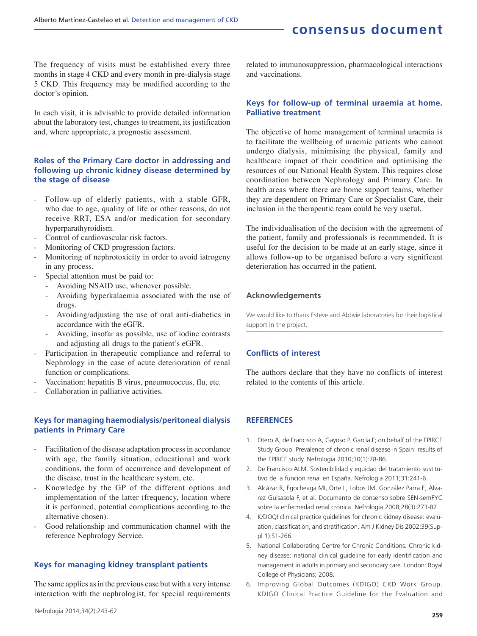The frequency of visits must be established every three months in stage 4 CKD and every month in pre-dialysis stage 5 CKD. This frequency may be modified according to the doctor's opinion.

In each visit, it is advisable to provide detailed information about the laboratory test, changes to treatment, its justification and, where appropriate, a prognostic assessment.

## **Roles of the Primary Care doctor in addressing and following up chronic kidney disease determined by the stage of disease**

- Follow-up of elderly patients, with a stable GFR, who due to age, quality of life or other reasons, do not receive RRT, ESA and/or medication for secondary hyperparathyroidism.
- Control of cardiovascular risk factors.
- Monitoring of CKD progression factors.
- Monitoring of nephrotoxicity in order to avoid iatrogeny in any process.
- Special attention must be paid to:
	- Avoiding NSAID use, whenever possible.
	- Avoiding hyperkalaemia associated with the use of drugs.
	- Avoiding/adjusting the use of oral anti-diabetics in accordance with the eGFR.
	- Avoiding, insofar as possible, use of iodine contrasts and adjusting all drugs to the patient's eGFR.
- Participation in therapeutic compliance and referral to Nephrology in the case of acute deterioration of renal function or complications.
- Vaccination: hepatitis B virus, pneumococcus, flu, etc.
- Collaboration in palliative activities.

## **Keys for managing haemodialysis/peritoneal dialysis patients in Primary Care**

- Facilitation of the disease adaptation process in accordance with age, the family situation, educational and work conditions, the form of occurrence and development of the disease, trust in the healthcare system, etc.
- Knowledge by the GP of the different options and implementation of the latter (frequency, location where it is performed, potential complications according to the alternative chosen).
- Good relationship and communication channel with the reference Nephrology Service.

## **Keys for managing kidney transplant patients**

The same applies as in the previous case but with a very intense interaction with the nephrologist, for special requirements related to immunosuppression, pharmacological interactions and vaccinations.

## **Keys for follow-up of terminal uraemia at home. Palliative treatment**

The objective of home management of terminal uraemia is to facilitate the wellbeing of uraemic patients who cannot undergo dialysis, minimising the physical, family and healthcare impact of their condition and optimising the resources of our National Health System. This requires close coordination between Nephrology and Primary Care. In health areas where there are home support teams, whether they are dependent on Primary Care or Specialist Care, their inclusion in the therapeutic team could be very useful.

The individualisation of the decision with the agreement of the patient, family and professionals is recommended. It is useful for the decision to be made at an early stage, since it allows follow-up to be organised before a very significant deterioration has occurred in the patient.

### **Acknowledgements**

We would like to thank Esteve and Abbvie laboratories for their logistical support in the project.

## **Conflicts of interest**

The authors declare that they have no conflicts of interest related to the contents of this article.

## **REFERENCES**

- 1. Otero A, de Francisco A, Gayoso P, García F; on behalf of the EPIRCE Study Group. Prevalence of chronic renal disease in Spain: results of the EPIRCE study. Nefrologia 2010;30(1):78-86.
- 2. De Francisco ALM. Sostenibilidad y equidad del tratamiento sustitutivo de la función renal en España. Nefrologia 2011;31:241-6.
- 3. Alcázar R, Egocheaga MI, Orte L, Lobos JM, González Parra E, Álvarez Guisasola F, et al. Documento de consenso sobre SEN-semFYC sobre la enfermedad renal crónica. Nefrologia 2008;28(3):273-82.
- 4. K/DOQI clinical practice guidelines for chronic kidney disease: evaluation, classification, and stratification. Am J Kidney Dis 2002;39(Suppl 1):S1-266.
- 5. National Collaborating Centre for Chronic Conditions. Chronic kidney disease: national clinical guideline for early identification and management in adults in primary and secondary care. London: Royal College of Physicians; 2008.
- 6. Improving Global Outcomes (KDIGO) CKD Work Group. KDIGO Clinical Practice Guideline for the Evaluation and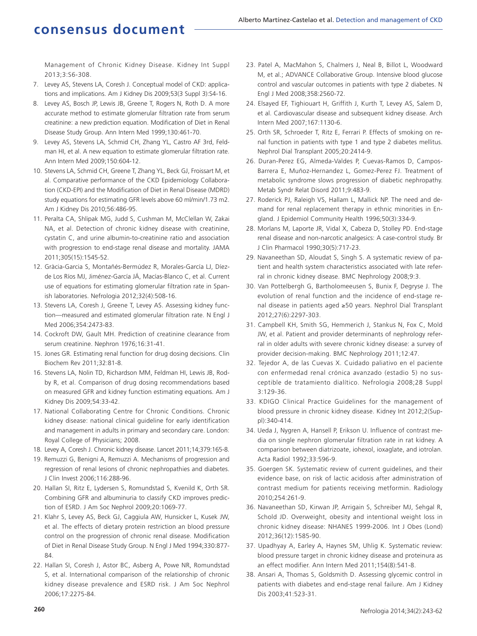Management of Chronic Kidney Disease. Kidney Int Suppl 2013;3:S6-308.

- 7. Levey AS, Stevens LA, Coresh J. Conceptual model of CKD: applications and implications. Am J Kidney Dis 2009;53(3 Suppl 3):S4-16.
- 8. Levey AS, Bosch JP, Lewis JB, Greene T, Rogers N, Roth D. A more accurate method to estimate glomerular filtration rate from serum creatinine: a new prediction equation. Modification of Diet in Renal Disease Study Group. Ann Intern Med 1999;130:461-70.
- 9. Levey AS, Stevens LA, Schmid CH, Zhang YL, Castro AF 3rd, Feldman HI, et al. A new equation to estimate glomerular filtration rate. Ann Intern Med 2009;150:604-12.
- 10. Stevens LA, Schmid CH, Greene T, Zhang YL, Beck GJ, Froissart M, et al. Comparative performance of the CKD Epidemiology Collaboration (CKD-EPI) and the Modification of Diet in Renal Disease (MDRD) study equations for estimating GFR levels above 60 ml/min/1.73 m2. Am J Kidney Dis 2010;56:486-95.
- 11. Peralta CA, Shlipak MG, Judd S, Cushman M, McClellan W, Zakai NA, et al. Detection of chronic kidney disease with creatinine, cystatin C, and urine albumin-to-creatinine ratio and association with progression to end-stage renal disease and mortality. JAMA 2011;305(15):1545-52.
- 12. Gràcia-Garcia S, Montañés-Bermúdez R, Morales-García LJ, Díezde Los Ríos MJ, Jiménez-García JÁ, Macías-Blanco C, et al. Current use of equations for estimating glomerular filtration rate in Spanish laboratories. Nefrologia 2012;32(4):508-16.
- 13. Stevens LA, Coresh J, Greene T, Levey AS. Assessing kidney function—measured and estimated glomerular filtration rate. N Engl J Med 2006;354:2473-83.
- 14. Cockroft DW, Gault MH. Prediction of creatinine clearance from serum creatinine. Nephron 1976;16:31-41.
- 15. Jones GR. Estimating renal function for drug dosing decisions. Clin Biochem Rev 2011;32:81-8.
- 16. Stevens LA, Nolin TD, Richardson MM, Feldman HI, Lewis JB, Rodby R, et al. Comparison of drug dosing recommendations based on measured GFR and kidney function estimating equations. Am J Kidney Dis 2009;54:33-42.
- 17. National Collaborating Centre for Chronic Conditions. Chronic kidney disease: national clinical guideline for early identification and management in adults in primary and secondary care. London: Royal College of Physicians; 2008.
- 18. Levey A, Coresh J. Chronic kidney disease. Lancet 2011;14;379:165-8.
- 19. Remuzzi G, Benigni A, Remuzzi A. Mechanisms of progression and regression of renal lesions of chronic nephropathies and diabetes. J Clin Invest 2006;116:288-96.
- 20. Hallan SI, Ritz E, Lydersen S, Romundstad S, Kvenild K, Orth SR. Combining GFR and albuminuria to classify CKD improves prediction of ESRD. J Am Soc Nephrol 2009;20:1069-77.
- 21. Klahr S, Levey AS, Beck GJ, Caggiula AW, Hunsicker L, Kusek JW, et al. The effects of dietary protein restriction an blood pressure control on the progression of chronic renal disease. Modification of Diet in Renal Disease Study Group. N Engl J Med 1994;330:877- 84.
- 22. Hallan SI, Coresh J, Astor BC, Asberg A, Powe NR, Romundstad S, et al. International comparison of the relationship of chronic kidney disease prevalence and ESRD risk. J Am Soc Nephrol 2006;17:2275-84.
- 23. Patel A, MacMahon S, Chalmers J, Neal B, Billot L, Woodward M, et al.; ADVANCE Collaborative Group. Intensive blood glucose control and vascular outcomes in patients with type 2 diabetes. N Engl J Med 2008;358:2560-72.
- 24. Elsayed EF, Tighiouart H, Griffith J, Kurth T, Levey AS, Salem D, et al. Cardiovascular disease and subsequent kidney disease. Arch Intern Med 2007;167:1130-6.
- 25. Orth SR, Schroeder T, Ritz E, Ferrari P. Effects of smoking on renal function in patients with type 1 and type 2 diabetes mellitus. Nephrol Dial Transplant 2005;20:2414-9.
- 26. Duran-Perez EG, Almeda-Valdes P, Cuevas-Ramos D, Campos-Barrera E, Muñoz-Hernandez L, Gomez-Perez FJ. Treatment of metabolic syndrome slows progression of diabetic nephropathy. Metab Syndr Relat Disord 2011;9:483-9.
- 27. Roderick PJ, Raleigh VS, Hallam L, Mallick NP. The need and demand for renal replacement therapy in ethnic minorities in England. J Epidemiol Community Health 1996;50(3):334-9.
- 28. Morlans M, Laporte JR, Vidal X, Cabeza D, Stolley PD. End-stage renal disease and non-narcotic analgesics: A case-control study. Br J Clin Pharmacol 1990;30(5):717-23.
- 29. Navaneethan SD, Aloudat S, Singh S. A systematic review of patient and health system characteristics associated with late referral in chronic kidney disease. BMC Nephrology 2008;9:3.
- 30. Van Pottelbergh G, Bartholomeeusen S, Bunix F, Degryse J. The evolution of renal function and the incidence of end-stage renal disease in patients aged ≥50 years. Nephrol Dial Transplant 2012;27(6):2297-303.
- 31. Campbell KH, Smith SG, Hemmerich J, Stankus N, Fox C, Mold JW, et al. Patient and provider determinants of nephrology referral in older adults with severe chronic kidney disease: a survey of provider decision-making. BMC Nephrology 2011;12:47.
- 32. Tejedor A, de las Cuevas X. Cuidado paliativo en el paciente con enfermedad renal crónica avanzado (estadio 5) no susceptible de tratamiento dialítico. Nefrologia 2008;28 Suppl 3:129-36.
- 33. KDIGO Clinical Practice Guidelines for the management of blood pressure in chronic kidney disease. Kidney Int 2012;2(Suppl):340-414.
- 34. Ueda J, Nygren A, Hansell P, Erikson U. Influence of contrast media on single nephron glomerular filtration rate in rat kidney. A comparison between diatrizoate, iohexol, ioxaglate, and iotrolan. Acta Radiol 1992;33:596-9.
- 35. Goergen SK. Systematic review of current guidelines, and their evidence base, on risk of lactic acidosis after administration of contrast medium for patients receiving metformin. Radiology 2010;254:261-9.
- 36. Navaneethan SD, Kirwan JP, Arrigain S, Schreiber MJ, Sehgal R, Schold JD. Overweight, obesity and intentional weight loss in chronic kidney disease: NHANES 1999-2006. Int J Obes (Lond) 2012;36(12):1585-90.
- 37. Upadhyay A, Earley A, Haynes SM, Uhlig K. Systematic review: blood pressure target in chronic kidney disease and proteinura as an effect modifier. Ann Intern Med 2011;154(8):541-8.
- 38. Ansari A, Thomas S, Goldsmith D. Assessing glycemic control in patients with diabetes and end-stage renal failure. Am J Kidney Dis 2003;41:523-31.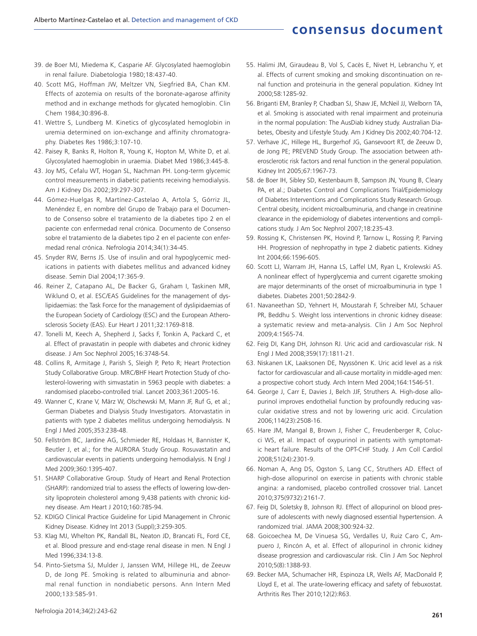- 39. de Boer MJ, Miedema K, Casparie AF. Glycosylated haemoglobin in renal failure. Diabetologia 1980;18:437-40.
- 40. Scott MG, Hoffman JW, Meltzer VN, Siegfried BA, Chan KM. Effects of azotemia on results of the boronate-agarose affinity method and in exchange methods for glycated hemoglobin. Clin Chem 1984;30:896-8.
- 41. Wettre S, Lundberg M. Kinetics of glycosylated hemoglobin in uremia determined on ion-exchange and affinity chromatography. Diabetes Res 1986;3:107-10.
- 42. Paisey R, Banks R, Holton R, Young K, Hopton M, White D, et al. Glycosylated haemoglobin in uraemia. Diabet Med 1986;3:445-8.
- 43. Joy MS, Cefalu WT, Hogan SL, Nachman PH. Long-term glycemic control measurements in diabetic patients receiving hemodialysis. Am J Kidney Dis 2002;39:297-307.
- 44. Gómez-Huelgas R, Martínez-Castelao A, Artola S, Górriz JL, Menéndez E, en nombre del Grupo de Trabajo para el Documento de Consenso sobre el tratamiento de la diabetes tipo 2 en el paciente con enfermedad renal crónica. Documento de Consenso sobre el tratamiento de la diabetes tipo 2 en el paciente con enfermedad renal crónica. Nefrologia 2014;34(1):34-45.
- 45. Snyder RW, Berns JS. Use of insulin and oral hypoglycemic medications in patients with diabetes mellitus and advanced kidney disease. Semin Dial 2004;17:365-9.
- 46. Reiner Z, Catapano AL, De Backer G, Graham I, Taskinen MR, Wiklund O, et al. ESC/EAS Guidelines for the management of dyslipidaemias: the Task Force for the management of dyslipidaemias of the European Society of Cardiology (ESC) and the European Atherosclerosis Society (EAS). Eur Heart J 2011;32:1769-818.
- 47. Tonelli M, Keech A, Shepherd J, Sacks F, Tonkin A, Packard C, et al. Effect of pravastatin in people with diabetes and chronic kidney disease. J Am Soc Nephrol 2005;16:3748-54.
- 48. Collins R, Armitage J, Parish S, Sleigh P, Peto R; Heart Protection Study Collaborative Group. MRC/BHF Heart Protection Study of cholesterol-lowering with simvastatin in 5963 people with diabetes: a randomised placebo-controlled trial. Lancet 2003;361:2005-16.
- 49. Wanner C, Krane V, März W, Olschewski M, Mann JF, Ruf G, et al.; German Diabetes and Dialysis Study Investigators. Atorvastatin in patients with type 2 diabetes mellitus undergoing hemodialysis. N Engl J Med 2005;353:238-48.
- 50. Fellström BC, Jardine AG, Schmieder RE, Holdaas H, Bannister K, Beutler J, et al.; for the AURORA Study Group. Rosuvastatin and cardiovascular events in patients undergoing hemodialysis. N Engl J Med 2009;360:1395-407.
- 51. SHARP Collaborative Group. Study of Heart and Renal Protection (SHARP): randomized trial to assess the effects of lowering low-density lipoprotein cholesterol among 9,438 patients with chronic kidney disease. Am Heart J 2010;160:785-94.
- 52. KDIGO Clinical Practice Guideline for Lipid Management in Chronic Kidney Disease. Kidney Int 2013 (Suppl);3:259-305.
- 53. Klag MJ, Whelton PK, Randall BL, Neaton JD, Brancati FL, Ford CE, et al. Blood pressure and end-stage renal disease in men. N Engl J Med 1996;334:13-8.
- 54. Pinto-Sietsma SJ, Mulder J, Janssen WM, Hillege HL, de Zeeuw D, de Jong PE. Smoking is related to albuminuria and abnormal renal function in nondiabetic persons. Ann Intern Med 2000;133:585-91.
- 55. Halimi JM, Giraudeau B, Vol S, Cacès E, Nivet H, Lebranchu Y, et al. Effects of current smoking and smoking discontinuation on renal function and proteinuria in the general population. Kidney Int 2000;58:1285-92.
- 56. Briganti EM, Branley P, Chadban SJ, Shaw JE, McNeil JJ, Welborn TA, et al. Smoking is associated with renal impairment and proteinuria in the normal population: The AusDiab kidney study. Australian Diabetes, Obesity and Lifestyle Study. Am J Kidney Dis 2002;40:704-12.
- 57. Verhave JC, Hillege HL, Burgerhof JG, Gansevoort RT, de Zeeuw D, de Jong PE; PREVEND Study Group. The association between atherosclerotic risk factors and renal function in the general population. Kidney Int 2005;67:1967-73.
- 58. de Boer IH, Sibley SD, Kestenbaum B, Sampson JN, Young B, Cleary PA, et al.; Diabetes Control and Complications Trial/Epidemiology of Diabetes Interventions and Complications Study Research Group. Central obesity, incident microalbuminuria, and change in creatinine clearance in the epidemiology of diabetes interventions and complications study. J Am Soc Nephrol 2007;18:235-43.
- 59. Rossing K, Christensen PK, Hovind P, Tarnow L, Rossing P, Parving HH. Progression of nephropathy in type 2 diabetic patients. Kidney Int 2004;66:1596-605.
- 60. Scott LJ, Warram JH, Hanna LS, Laffel LM, Ryan L, Krolewski AS. A nonlinear effect of hyperglycemia and current cigarette smoking are major determinants of the onset of microalbuminuria in type 1 diabetes. Diabetes 2001;50:2842-9.
- 61. Navaneethan SD, Yehnert H, Moustarah F, Schreiber MJ, Schauer PR, Beddhu S. Weight loss interventions in chronic kidney disease: a systematic review and meta-analysis. Clin J Am Soc Nephrol 2009;4:1565-74.
- 62. Feig DI, Kang DH, Johnson RJ. Uric acid and cardiovascular risk. N Engl J Med 2008;359(17):1811-21.
- 63. Niskanen LK, Laaksonen DE, Nyyssönen K. Uric acid level as a risk factor for cardiovascular and all-cause mortality in middle-aged men: a prospective cohort study. Arch Intern Med 2004;164:1546-51.
- 64. George J, Carr E, Davies J, Belch JJF, Struthers A. High-dose allopurinol improves endothelial function by profoundly reducing vascular oxidative stress and not by lowering uric acid. Circulation 2006;114(23):2508-16.
- 65. Hare JM, Mangal B, Brown J, Fisher C, Freudenberger R, Colucci WS, et al. Impact of oxypurinol in patients with symptomatic heart failure. Results of the OPT-CHF Study. J Am Coll Cardiol 2008;51(24):2301-9.
- 66. Noman A, Ang DS, Ogston S, Lang CC, Struthers AD. Effect of high-dose allopurinol on exercise in patients with chronic stable angina: a randomised, placebo controlled crossover trial. Lancet 2010;375(9732):2161-7.
- 67. Feig DI, Soletsky B, Johnson RJ. Effect of allopurinol on blood pressure of adolescents with newly diagnosed essential hypertension. A randomized trial. JAMA 2008;300:924-32.
- 68. Goicoechea M, De Vinuesa SG, Verdalles U, Ruiz Caro C, Ampuero J, Rincón A, et al. Effect of allopurinol in chronic kidney disease progression and cardiovascular risk. Clin J Am Soc Nephrol 2010;5(8):1388-93.
- 69. Becker MA, Schumacher HR, Espinoza LR, Wells AF, MacDonald P, Lloyd E, et al. The urate-lowering efficacy and safety of febuxostat. Arthritis Res Ther 2010;12(2):R63.